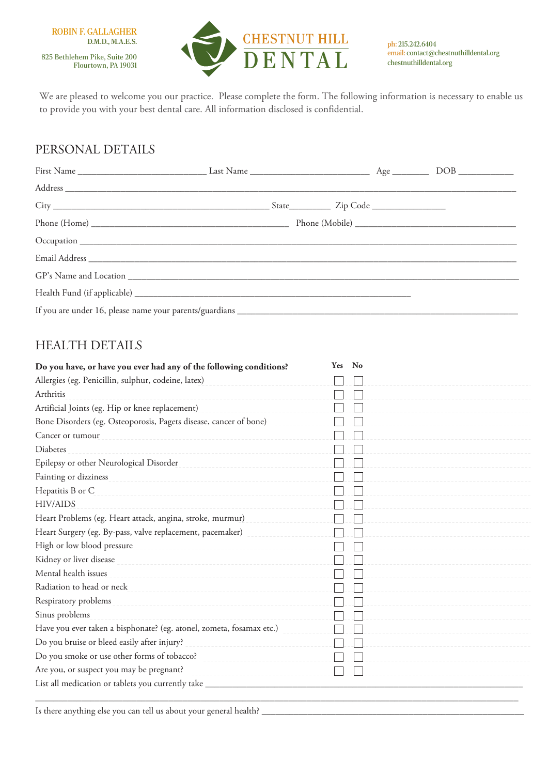

ph: 215.242.6404 email: contact@chestnuthilldental.org chestnuthilldental.org

We are pleased to welcome you our practice. Please complete the form. The following information is necessary to enable us to provide you with your best dental care. All information disclosed is confidential.

## PERSONAL DETAILS

## HEALTH DETAILS

|                                                                      | Yes | No |
|----------------------------------------------------------------------|-----|----|
| Allergies (eg. Penicillin, sulphur, codeine, latex)                  |     |    |
| Arthritis                                                            |     |    |
| Artificial Joints (eg. Hip or knee replacement)                      |     |    |
| Bone Disorders (eg. Osteoporosis, Pagets disease, cancer of bone)    |     |    |
| Cancer or tumour                                                     |     |    |
| <b>Diabetes</b>                                                      |     |    |
| Epilepsy or other Neurological Disorder                              |     |    |
| Fainting or dizziness                                                |     |    |
| Hepatitis B or C                                                     |     |    |
| <b>HIV/AIDS</b>                                                      |     |    |
| Heart Problems (eg. Heart attack, angina, stroke, murmur)            |     |    |
| Heart Surgery (eg. By-pass, valve replacement, pacemaker)            |     |    |
| High or low blood pressure                                           |     |    |
| Kidney or liver disease                                              |     |    |
| Mental health issues                                                 |     |    |
| Radiation to head or neck                                            |     |    |
| Respiratory problems                                                 |     |    |
| Sinus problems                                                       |     |    |
| Have you ever taken a bisphonate? (eg. atonel, zometa, fosamax etc.) |     |    |
| Do you bruise or bleed easily after injury?                          |     |    |
| Do you smoke or use other forms of tobacco?                          |     |    |
| Are you, or suspect you may be pregnant?                             |     |    |
| List all medication or tablets you currently take                    |     |    |

Is there anything else you can tell us about your general health? \_